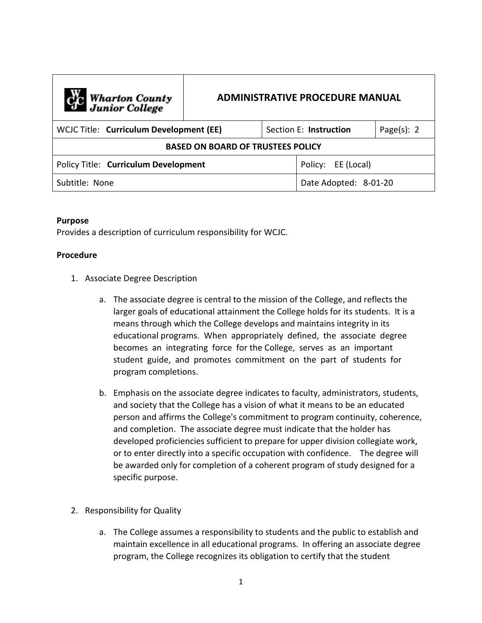| C <sub>1</sub> C Wharton County<br>Junior College |  |                        | <b>ADMINISTRATIVE PROCEDURE MANUAL</b> |                |
|---------------------------------------------------|--|------------------------|----------------------------------------|----------------|
| WCJC Title: Curriculum Development (EE)           |  | Section E: Instruction |                                        | Page $(s)$ : 2 |
| <b>BASED ON BOARD OF TRUSTEES POLICY</b>          |  |                        |                                        |                |
| Policy Title: Curriculum Development              |  |                        | Policy: EE (Local)                     |                |
| Subtitle: None                                    |  |                        | Date Adopted: 8-01-20                  |                |

## **Purpose**

Provides a description of curriculum responsibility for WCJC.

## **Procedure**

- 1. Associate Degree Description
	- a. The associate degree is central to the mission of the College, and reflects the larger goals of educational attainment the College holds for its students. It is a means through which the College develops and maintains integrity in its educational programs. When appropriately defined, the associate degree becomes an integrating force for the College, serves as an important student guide, and promotes commitment on the part of students for program completions.
	- b. Emphasis on the associate degree indicates to faculty, administrators, students, and society that the College has a vision of what it means to be an educated person and affirms the College's commitment to program continuity, coherence, and completion. The associate degree must indicate that the holder has developed proficiencies sufficient to prepare for upper division collegiate work, or to enter directly into a specific occupation with confidence. The degree will be awarded only for completion of a coherent program of study designed for a specific purpose.
- 2. Responsibility for Quality
	- a. The College assumes a responsibility to students and the public to establish and maintain excellence in all educational programs. In offering an associate degree program, the College recognizes its obligation to certify that the student